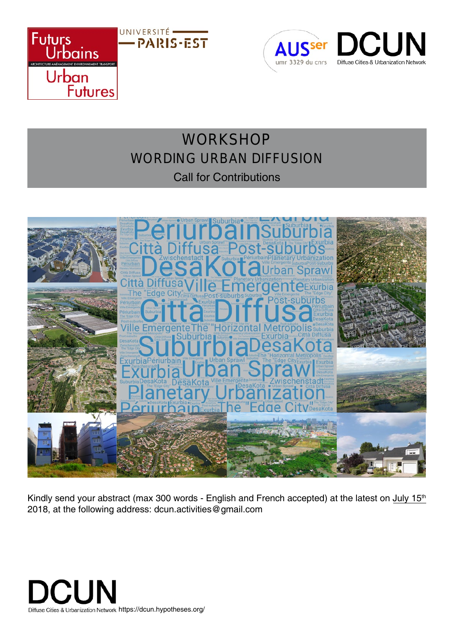



# **WORKSHOP** WORDING URBAN DIFFUSION Call for Contributions



Kindly send your abstract (max 300 words - English and French accepted) at the latest on July 15<sup>th</sup> 2018, at the following address: dcun.activities@gmail.com

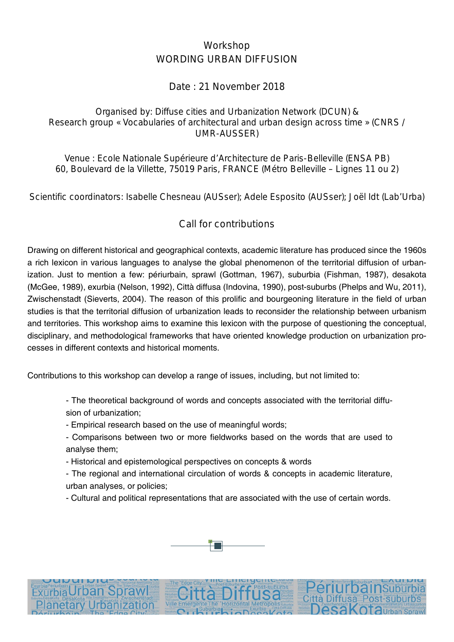# Workshop WORDING URBAN DIFFUSION

### Date : 21 November 2018

#### Organised by: Diffuse cities and Urbanization Network (DCUN) & Research group « Vocabularies of architectural and urban design across time » (CNRS / UMR-AUSSER)

Venue : Ecole Nationale Supérieure d'Architecture de Paris-Belleville (ENSA PB) 60, Boulevard de la Villette, 75019 Paris, FRANCE (Métro Belleville – Lignes 11 ou 2)

Scientific coordinators: Isabelle Chesneau (AUSser); Adele Esposito (AUSser); Joël Idt (Lab'Urba)

## Call for contributions

Drawing on different historical and geographical contexts, academic literature has produced since the 1960s a rich lexicon in various languages to analyse the global phenomenon of the territorial diffusion of urbanization. Just to mention a few: périurbain, sprawl (Gottman, 1967), suburbia (Fishman, 1987), desakota (McGee, 1989), exurbia (Nelson, 1992), Città diffusa (Indovina, 1990), post-suburbs (Phelps and Wu, 2011), Zwischenstadt (Sieverts, 2004). The reason of this prolific and bourgeoning literature in the field of urban studies is that the territorial diffusion of urbanization leads to reconsider the relationship between urbanism and territories. This workshop aims to examine this lexicon with the purpose of questioning the conceptual, disciplinary, and methodological frameworks that have oriented knowledge production on urbanization processes in different contexts and historical moments.

Contributions to this workshop can develop a range of issues, including, but not limited to:

- The theoretical background of words and concepts associated with the territorial diffusion of urbanization;

- Empirical research based on the use of meaningful words;

- Comparisons between two or more fieldworks based on the words that are used to analyse them;

- Historical and epistemological perspectives on concepts & words

- The regional and international circulation of words & concepts in academic literature, urban analyses, or policies;

- Cultural and political representations that are associated with the use of certain words.

iffusa Post-suburbs